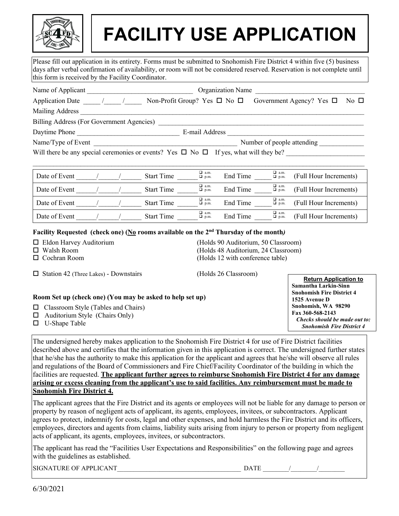

# **FACILITY USE APPLICATION**

Please fill out application in its entirety. Forms must be submitted to Snohomish Fire District 4 within five (5) business days after verbal confirmation of availability, or room will not be considered reserved. Reservation is not complete until this form is received by the Facility Coordinator.

| Name of Applicant                                                                               | <b>Organization Name</b>                                                                                             |                             |          |                             |                                                          |  |  |
|-------------------------------------------------------------------------------------------------|----------------------------------------------------------------------------------------------------------------------|-----------------------------|----------|-----------------------------|----------------------------------------------------------|--|--|
| Application Date / /                                                                            | Non-Profit Group? Yes $\Box$ No $\Box$                                                                               |                             |          |                             | Government Agency? Yes $\Box$<br>$\overline{N}$ o $\Box$ |  |  |
| Mailing Address                                                                                 |                                                                                                                      |                             |          |                             |                                                          |  |  |
| Billing Address (For Government Agencies)                                                       |                                                                                                                      |                             |          |                             |                                                          |  |  |
| Daytime Phone                                                                                   |                                                                                                                      | E-mail Address              |          |                             |                                                          |  |  |
| Name/Type of Event                                                                              | <u> 1980 - Johann Barbara, martin amerikan basar dan berasal dalam basa dalam basar dalam basar dalam basar dala</u> |                             |          | Number of people attending  |                                                          |  |  |
| Will there be any special ceremonies or events? Yes $\Box$ No $\Box$ If yes, what will they be? |                                                                                                                      |                             |          |                             |                                                          |  |  |
|                                                                                                 |                                                                                                                      |                             |          |                             |                                                          |  |  |
| Date of Event $\sqrt{ }$                                                                        | <b>Start Time</b>                                                                                                    | $\Box$ a.m.<br>$\n  D.m.\n$ | End Time | $\Box$ a.m.<br>$\n  D$ p.m. | (Full Hour Increments)                                   |  |  |
| Date of Event $\frac{1}{2}$ /                                                                   | <b>Start Time</b>                                                                                                    | $\Box$ a.m.<br>$\n  D.m.\n$ | End Time | $\Box$ a.m.<br>$\n  D$ p.m. | (Full Hour Increments)                                   |  |  |
| Date of Event                                                                                   | <b>Start Time</b>                                                                                                    | $\Box$ a.m.<br>$\Box$ p.m.  | End Time | $\Box$ a.m.<br>$\Box$ p.m.  | (Full Hour Increments)                                   |  |  |
| Date of Event                                                                                   | <b>Start Time</b>                                                                                                    | $\Box$ a.m.<br>$\n  D.m.\n$ | End Time | $\Box$ a.m.<br>$\n  D$ p.m. | (Full Hour Increments)                                   |  |  |
| Facility Requested (check one) (No rooms available on the $2nd$ Thursday of the month)          |                                                                                                                      |                             |          |                             |                                                          |  |  |

- 
- 
- 

 Eldon Harvey Auditorium (Holds 90 Auditorium, 50 Classroom) Walsh Room (Holds 48 Auditorium, 24 Classroom) (Holds 12 with conference table)

| $\Box$ Station 42 (Three Lakes) - Downstairs              | (Holds 26 Classroom)             |                                  |
|-----------------------------------------------------------|----------------------------------|----------------------------------|
|                                                           |                                  | <b>Return Application to</b>     |
|                                                           |                                  | Samantha Larkin-Sinn             |
|                                                           | <b>Snohomish Fire District 4</b> |                                  |
| Room Set up (check one) (You may be asked to help set up) |                                  | 1525 Avenue D                    |
| $\Box$ Classroom Style (Tables and Chairs)                |                                  | Snohomish, WA 98290              |
| Auditorium Style (Chairs Only)<br>□                       |                                  | Fax 360-568-2143                 |
| U-Shape Table<br>П                                        |                                  | Checks should be made out to:    |
|                                                           |                                  | <b>Snohomish Fire District 4</b> |

The undersigned hereby makes application to the Snohomish Fire District 4 for use of Fire District facilities described above and certifies that the information given in this application is correct. The undersigned further states that he/she has the authority to make this application for the applicant and agrees that he/she will observe all rules and regulations of the Board of Commissioners and Fire Chief/Facility Coordinator of the building in which the facilities are requested. **The applicant further agrees to reimburse Snohomish Fire District 4 for any damage arising or excess cleaning from the applicant's use to said facilities. Any reimbursement must be made to Snohomish Fire District 4.**

The applicant agrees that the Fire District and its agents or employees will not be liable for any damage to person or property by reason of negligent acts of applicant, its agents, employees, invitees, or subcontractors. Applicant agrees to protect, indemnify for costs, legal and other expenses, and hold harmless the Fire District and its officers, employees, directors and agents from claims, liability suits arising from injury to person or property from negligent acts of applicant, its agents, employees, invitees, or subcontractors.

The applicant has read the "Facilities User Expectations and Responsibilities" on the following page and agrees with the guidelines as established.

SIGNATURE OF APPLICANT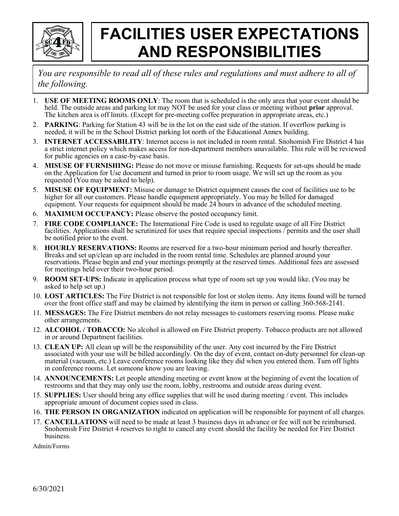

## **FACILITIES USER EXPECTATIONS AND RESPONSIBILITIES**

*You are responsible to read all of these rules and regulations and must adhere to all of the following.*

- 1. **USE OF MEETING ROOMS ONLY**: The room that is scheduled is the only area that your event should be held. The outside areas and parking lot may NOT be used for your class or meeting without **prior** approval. The kitchen area is off limits. (Except for pre-meeting coffee preparation in appropriate areas, etc.)
- 2. **PARKING**: Parking for Station 43 will be in the lot on the east side of the station. If overflow parking is needed, it will be in the School District parking lot north of the Educational Annex building.
- 3. **INTERNET ACCESSABILITY**: Internet access is not included in room rental. Snohomish Fire District 4 has a strict internet policy which makes access for non-department members unavailable. This rule will be reviewed for public agencies on a case-by-case basis.
- 4. **MISUSE OF FURNISHING:** Please do not move or misuse furnishing. Requests for set-ups should be made on the Application for Use document and turned in prior to room usage. We will set up the room as you requested (You may be asked to help).
- 5. **MISUSE OF EQUIPMENT:** Misuse or damage to District equipment causes the cost of facilities use to be higher for all our customers. Please handle equipment appropriately. You may be billed for damaged equipment. Your requests for equipment should be made 24 hours in advance of the scheduled meeting.
- 6. **MAXIMUM OCCUPANCY:** Please observe the posted occupancy limit.
- 7. **FIRE CODE COMPLIANCE:** The International Fire Code is used to regulate usage of all Fire District facilities. Applications shall be scrutinized for uses that require special inspections / permits and the user shall be notified prior to the event.
- 8. **HOURLY RESERVATIONS:** Rooms are reserved for a two-hour minimum period and hourly thereafter. Breaks and set up/clean up are included in the room rental time. Schedules are planned around your reservations. Please begin and end your meetings promptly at the reserved times. Additional fees are assessed for meetings held over their two-hour period.
- 9. **ROOM SET-UPS:** Indicate in application process what type of room set up you would like. (You may be asked to help set up.)
- 10. **LOST ARTICLES:** The Fire District is not responsible for lost or stolen items. Any items found will be turned over the front office staff and may be claimed by identifying the item in person or calling 360-568-2141.
- 11. **MESSAGES:** The Fire District members do not relay messages to customers reserving rooms. Please make other arrangements.
- 12. **ALCOHOL / TOBACCO:** No alcohol is allowed on Fire District property. Tobacco products are not allowed in or around Department facilities.
- 13. **CLEAN UP:** All clean up will be the responsibility of the user. Any cost incurred by the Fire District associated with your use will be billed accordingly. On the day of event, contact on-duty personnel for clean-up material (vacuum, etc.) Leave conference rooms looking like they did when you entered them. Turn off lights in conference rooms. Let someone know you are leaving.
- 14. **ANNOUNCEMENTS:** Let people attending meeting or event know at the beginning of event the location of restrooms and that they may only use the room, lobby, restrooms and outside areas during event.
- 15. **SUPPLIES:** User should bring any office supplies that will be used during meeting / event. This includes appropriate amount of document copies used in class.
- 16. **THE PERSON IN ORGANIZATION** indicated on application will be responsible for payment of all charges.
- 17. **CANCELLATIONS** will need to be made at least 3 business days in advance or fee will not be reimbursed. Snohomish Fire District 4 reserves to right to cancel any event should the facility be needed for Fire District business.

Admin/Forms